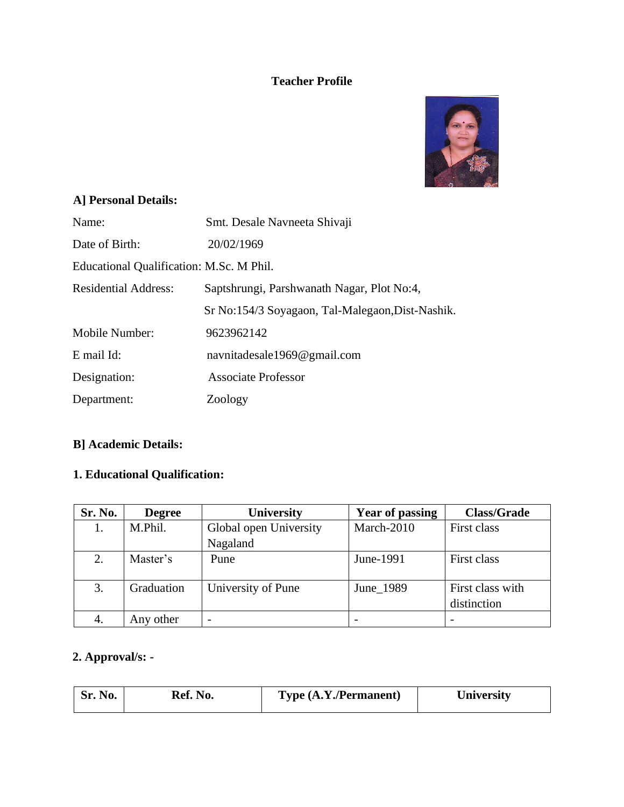#### **Teacher Profile**



## **A] Personal Details:**

| Name:                                    | Smt. Desale Navneeta Shivaji                     |
|------------------------------------------|--------------------------------------------------|
| Date of Birth:                           | 20/02/1969                                       |
| Educational Qualification: M.Sc. M Phil. |                                                  |
| <b>Residential Address:</b>              | Saptshrungi, Parshwanath Nagar, Plot No:4,       |
|                                          | Sr No:154/3 Soyagaon, Tal-Malegaon, Dist-Nashik. |
| Mobile Number:                           | 9623962142                                       |
| E mail Id:                               | navnitadesale1969@gmail.com                      |
| Designation:                             | <b>Associate Professor</b>                       |
| Department:                              | Zoology                                          |

## **B] Academic Details:**

## **1. Educational Qualification:**

| Sr. No. | <b>Degree</b> | University               | <b>Year of passing</b> | <b>Class/Grade</b>              |
|---------|---------------|--------------------------|------------------------|---------------------------------|
| 1.      | M.Phil.       | Global open University   | March-2010             | First class                     |
|         |               | Nagaland                 |                        |                                 |
|         | Master's      | Pune                     | June-1991              | First class                     |
| 3.      | Graduation    | University of Pune       | June 1989              | First class with<br>distinction |
| 4.      | Any other     | $\overline{\phantom{0}}$ |                        |                                 |

#### **2. Approval/s: -**

| Ref. N<br><b>No.</b><br>NO.<br>. | Type (A.Y. / Permannent) | ∪niversity |
|----------------------------------|--------------------------|------------|
|----------------------------------|--------------------------|------------|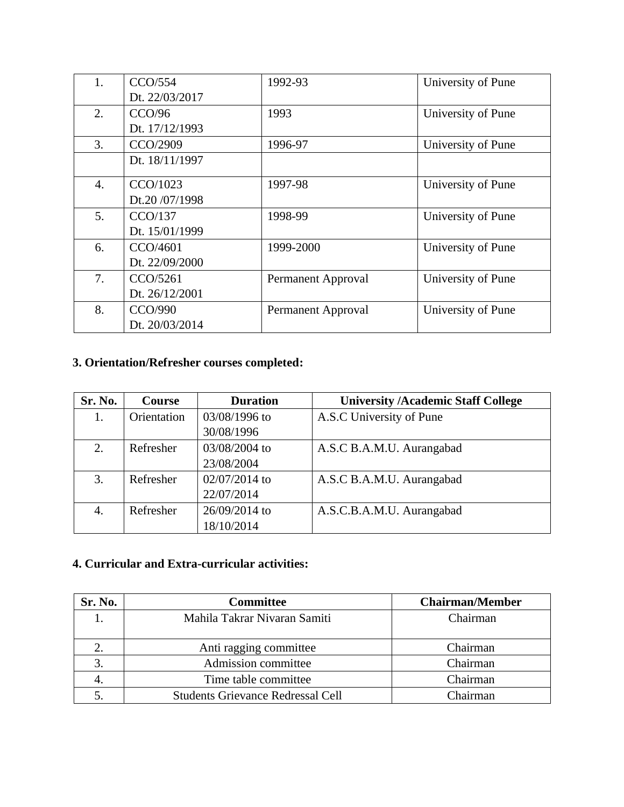| 1. | CCO/554        | 1992-93            | University of Pune |
|----|----------------|--------------------|--------------------|
|    | Dt. 22/03/2017 |                    |                    |
| 2. | CCO/96         | 1993               | University of Pune |
|    | Dt. 17/12/1993 |                    |                    |
| 3. | CCO/2909       | 1996-97            | University of Pune |
|    | Dt. 18/11/1997 |                    |                    |
| 4. | CCO/1023       | 1997-98            | University of Pune |
|    | Dt.20 /07/1998 |                    |                    |
| 5. | CCO/137        | 1998-99            | University of Pune |
|    | Dt. 15/01/1999 |                    |                    |
| 6. | CCO/4601       | 1999-2000          | University of Pune |
|    | Dt. 22/09/2000 |                    |                    |
| 7. | CCO/5261       | Permanent Approval | University of Pune |
|    | Dt. 26/12/2001 |                    |                    |
| 8. | CCO/990        | Permanent Approval | University of Pune |
|    | Dt. 20/03/2014 |                    |                    |

## **3. Orientation/Refresher courses completed:**

| Sr. No. | <b>Course</b> | <b>Duration</b> | <b>University /Academic Staff College</b> |
|---------|---------------|-----------------|-------------------------------------------|
| 1.      | Orientation   | 03/08/1996 to   | A.S.C University of Pune                  |
|         |               | 30/08/1996      |                                           |
| 2.      | Refresher     | 03/08/2004 to   | A.S.C B.A.M.U. Aurangabad                 |
|         |               | 23/08/2004      |                                           |
| 3.      | Refresher     | 02/07/2014 to   | A.S.C B.A.M.U. Aurangabad                 |
|         |               | 22/07/2014      |                                           |
| 4.      | Refresher     | 26/09/2014 to   | A.S.C.B.A.M.U. Aurangabad                 |
|         |               | 18/10/2014      |                                           |

#### **4. Curricular and Extra-curricular activities:**

| Sr. No. | <b>Committee</b>                         | <b>Chairman/Member</b> |
|---------|------------------------------------------|------------------------|
|         | Mahila Takrar Nivaran Samiti             | Chairman               |
|         | Anti ragging committee                   | Chairman               |
|         | Admission committee                      | Chairman               |
|         | Time table committee                     | Chairman               |
|         | <b>Students Grievance Redressal Cell</b> | Chairman               |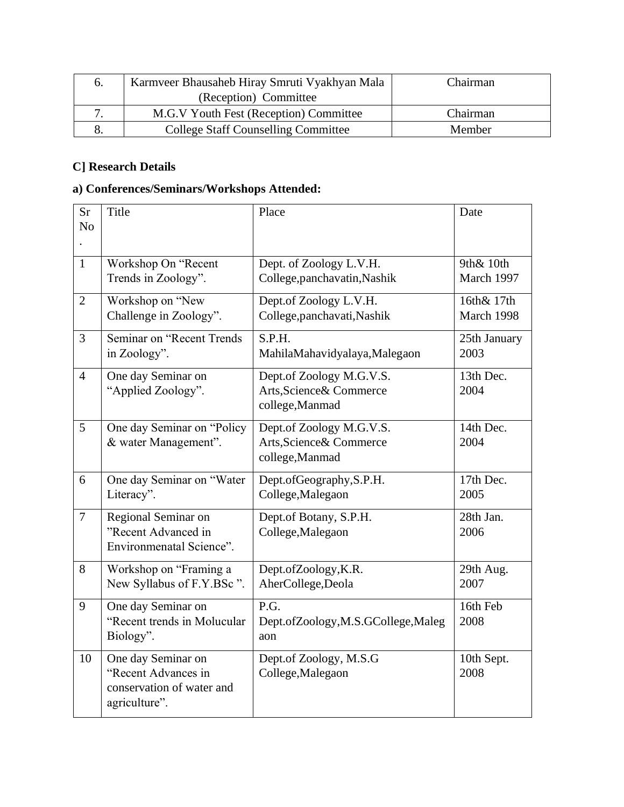| $\sigma$ . | Karmveer Bhausaheb Hiray Smruti Vyakhyan Mala | Chairman |
|------------|-----------------------------------------------|----------|
|            | (Reception) Committee                         |          |
|            | M.G.V Youth Fest (Reception) Committee        | Chairman |
| 8.         | <b>College Staff Counselling Committee</b>    | Member   |

### **C] Research Details**

## **a) Conferences/Seminars/Workshops Attended:**

| Sr<br>N <sub>o</sub> | Title                                                                                   | Place                                                                   | Date                     |
|----------------------|-----------------------------------------------------------------------------------------|-------------------------------------------------------------------------|--------------------------|
|                      |                                                                                         |                                                                         |                          |
| $\mathbf{1}$         | Workshop On "Recent<br>Trends in Zoology".                                              | Dept. of Zoology L.V.H.<br>College, panchavatin, Nashik                 | 9th& 10th<br>March 1997  |
| $\overline{2}$       | Workshop on "New<br>Challenge in Zoology".                                              | Dept.of Zoology L.V.H.<br>College, panchavati, Nashik                   | 16th& 17th<br>March 1998 |
| $\overline{3}$       | Seminar on "Recent Trends<br>in Zoology".                                               | S.P.H.<br>MahilaMahavidyalaya,Malegaon                                  | 25th January<br>2003     |
| $\overline{4}$       | One day Seminar on<br>"Applied Zoology".                                                | Dept.of Zoology M.G.V.S.<br>Arts, Science & Commerce<br>college, Manmad | 13th Dec.<br>2004        |
| 5                    | One day Seminar on "Policy<br>& water Management".                                      | Dept.of Zoology M.G.V.S.<br>Arts, Science & Commerce<br>college, Manmad | 14th Dec.<br>2004        |
| 6                    | One day Seminar on "Water<br>Literacy".                                                 | Dept.ofGeography, S.P.H.<br>College, Malegaon                           | 17th Dec.<br>2005        |
| $\overline{7}$       | Regional Seminar on<br>"Recent Advanced in<br>Environmenatal Science".                  | Dept.of Botany, S.P.H.<br>College, Malegaon                             | 28th Jan.<br>2006        |
| 8                    | Workshop on "Framing a<br>New Syllabus of F.Y.BSc".                                     | Dept.ofZoology,K.R.<br>AherCollege, Deola                               | 29th Aug.<br>2007        |
| 9                    | One day Seminar on<br>"Recent trends in Molucular<br>Biology".                          | P.G.<br>Dept.ofZoology,M.S.GCollege,Maleg<br>aon                        | 16th Feb<br>2008         |
| 10                   | One day Seminar on<br>"Recent Advances in<br>conservation of water and<br>agriculture". | Dept.of Zoology, M.S.G<br>College, Malegaon                             | 10th Sept.<br>2008       |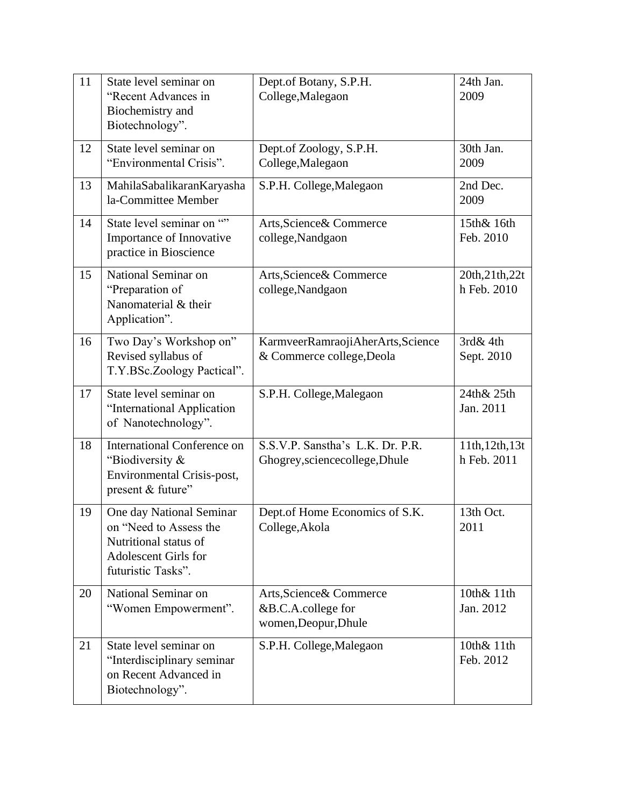| 11 | State level seminar on<br>"Recent Advances in<br>Biochemistry and<br>Biotechnology".                                      | Dept.of Botany, S.P.H.<br>College, Malegaon                            | 24th Jan.<br>2009              |
|----|---------------------------------------------------------------------------------------------------------------------------|------------------------------------------------------------------------|--------------------------------|
| 12 | State level seminar on<br>"Environmental Crisis".                                                                         | Dept.of Zoology, S.P.H.<br>College, Malegaon                           | 30th Jan.<br>2009              |
| 13 | MahilaSabalikaranKaryasha<br>la-Committee Member                                                                          | S.P.H. College, Malegaon                                               | 2nd Dec.<br>2009               |
| 14 | State level seminar on ""<br>Importance of Innovative<br>practice in Bioscience                                           | Arts, Science & Commerce<br>college, Nandgaon                          | 15th& 16th<br>Feb. 2010        |
| 15 | National Seminar on<br>"Preparation of<br>Nanomaterial & their<br>Application".                                           | Arts, Science & Commerce<br>college, Nandgaon                          | 20th, 21th, 22t<br>h Feb. 2010 |
| 16 | Two Day's Workshop on"<br>Revised syllabus of<br>T.Y.BSc.Zoology Pactical".                                               | KarmveerRamraojiAherArts,Science<br>& Commerce college, Deola          | $3rd\&4th$<br>Sept. 2010       |
| 17 | State level seminar on<br>"International Application<br>of Nanotechnology".                                               | S.P.H. College, Malegaon                                               | 24th& 25th<br>Jan. 2011        |
| 18 | <b>International Conference on</b><br>"Biodiversity &<br>Environmental Crisis-post,<br>present & future"                  | S.S.V.P. Sanstha's L.K. Dr. P.R.<br>Ghogrey, sciencecollege, Dhule     | 11th, 12th, 13t<br>h Feb. 2011 |
| 19 | One day National Seminar<br>on "Need to Assess the<br>Nutritional status of<br>Adolescent Girls for<br>futuristic Tasks". | Dept.of Home Economics of S.K.<br>College, Akola                       | 13th Oct.<br>2011              |
| 20 | National Seminar on<br>"Women Empowerment".                                                                               | Arts, Science & Commerce<br>&B.C.A.college for<br>women, Deopur, Dhule | 10th& 11th<br>Jan. 2012        |
| 21 | State level seminar on<br>"Interdisciplinary seminar<br>on Recent Advanced in<br>Biotechnology".                          | S.P.H. College, Malegaon                                               | 10th& 11th<br>Feb. 2012        |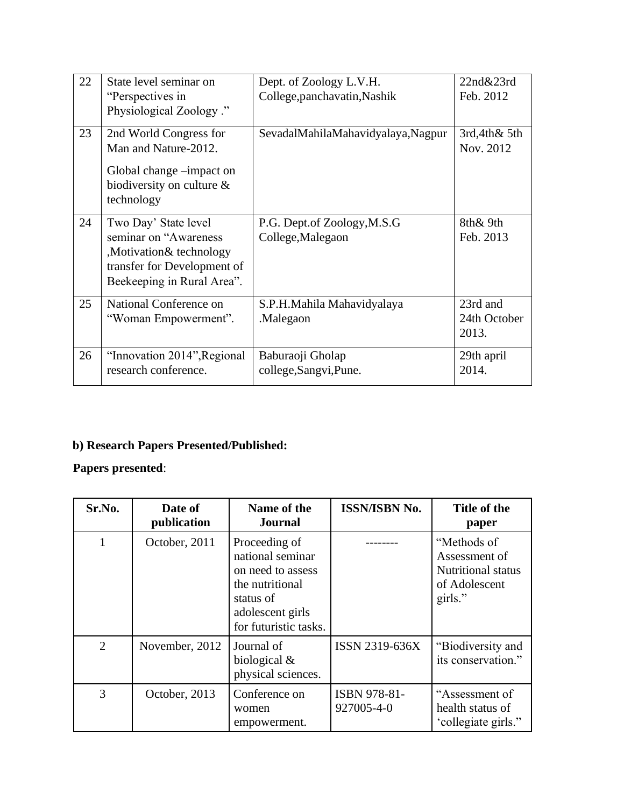| 22 | State level seminar on<br>"Perspectives in<br>Physiological Zoology."                                                                 | Dept. of Zoology L.V.H.<br>College, panchavatin, Nashik | 22n d&23rd<br>Feb. 2012           |
|----|---------------------------------------------------------------------------------------------------------------------------------------|---------------------------------------------------------|-----------------------------------|
| 23 | 2nd World Congress for<br>Man and Nature-2012.<br>Global change -impact on<br>biodiversity on culture $\&$<br>technology              | SevadalMahilaMahavidyalaya, Nagpur                      | 3rd,4th&5th<br>Nov. 2012          |
| 24 | Two Day' State level<br>seminar on "Awareness<br>,Motivation& technology<br>transfer for Development of<br>Beekeeping in Rural Area". | P.G. Dept.of Zoology, M.S.G<br>College, Malegaon        | 8th& 9th<br>Feb. 2013             |
| 25 | National Conference on<br>"Woman Empowerment".                                                                                        | S.P.H.Mahila Mahavidyalaya<br>.Malegaon                 | 23rd and<br>24th October<br>2013. |
| 26 | "Innovation 2014", Regional<br>research conference.                                                                                   | Baburaoji Gholap<br>college, Sangvi, Pune.              | 29th april<br>2014.               |

## **b) Research Papers Presented/Published:**

## **Papers presented**:

| Sr.No.         | Date of<br>publication | Name of the<br><b>Journal</b>                                                                                                       | <b>ISSN/ISBN No.</b>       | Title of the<br>paper                                                                 |
|----------------|------------------------|-------------------------------------------------------------------------------------------------------------------------------------|----------------------------|---------------------------------------------------------------------------------------|
|                | October, 2011          | Proceeding of<br>national seminar<br>on need to assess<br>the nutritional<br>status of<br>adolescent girls<br>for futuristic tasks. |                            | "Methods of<br>Assessment of<br><b>Nutritional status</b><br>of Adolescent<br>girls." |
| $\overline{2}$ | November, 2012         | Journal of<br>biological $\&$<br>physical sciences.                                                                                 | ISSN 2319-636X             | "Biodiversity and<br>its conservation."                                               |
| 3              | October, 2013          | Conference on<br>women<br>empowerment.                                                                                              | ISBN 978-81-<br>927005-4-0 | "Assessment of<br>health status of<br>'collegiate girls."                             |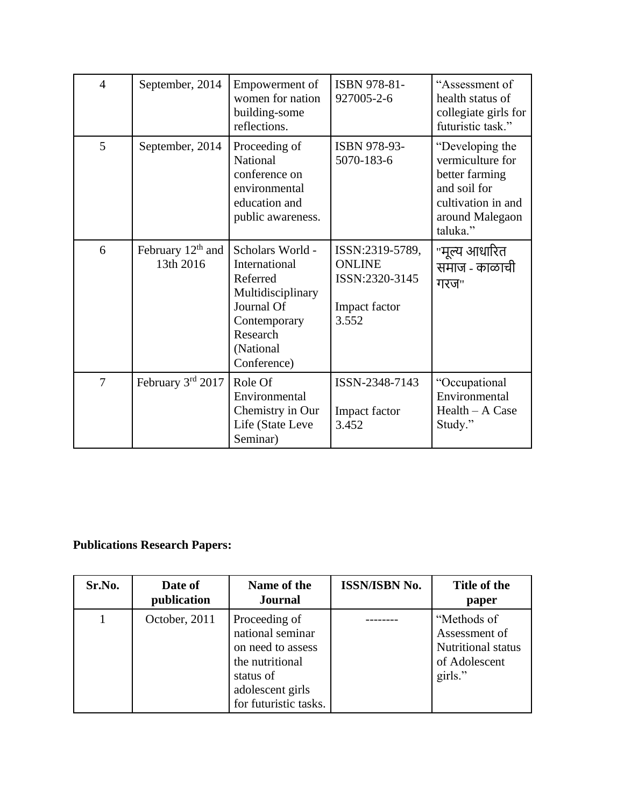| $\overline{4}$ | September, 2014                  | Empowerment of<br>women for nation<br>building-some<br>reflections.                                                                      | ISBN 978-81-<br>927005-2-6                                                   | "Assessment of<br>health status of<br>collegiate girls for<br>futuristic task."                                            |
|----------------|----------------------------------|------------------------------------------------------------------------------------------------------------------------------------------|------------------------------------------------------------------------------|----------------------------------------------------------------------------------------------------------------------------|
| 5              | September, 2014                  | Proceeding of<br>National<br>conference on<br>environmental<br>education and<br>public awareness.                                        | ISBN 978-93-<br>5070-183-6                                                   | "Developing the<br>vermiculture for<br>better farming<br>and soil for<br>cultivation in and<br>around Malegaon<br>taluka." |
| 6              | February $12th$ and<br>13th 2016 | Scholars World -<br>International<br>Referred<br>Multidisciplinary<br>Journal Of<br>Contemporary<br>Research<br>(National<br>Conference) | ISSN:2319-5789,<br><b>ONLINE</b><br>ISSN:2320-3145<br>Impact factor<br>3.552 | "मूल्य आधारित<br>समाज - काळाची<br>गरज"                                                                                     |
| $\overline{7}$ | February 3rd 2017                | Role Of<br>Environmental<br>Chemistry in Our<br>Life (State Leve<br>Seminar)                                                             | ISSN-2348-7143<br>Impact factor<br>3.452                                     | "Occupational<br>Environmental<br>Health - A Case<br>Study."                                                               |

# **Publications Research Papers:**

| Sr.No. | Date of<br>publication | Name of the<br><b>Journal</b>                                                                                                       | <b>ISSN/ISBN No.</b> | Title of the<br>paper                                                          |
|--------|------------------------|-------------------------------------------------------------------------------------------------------------------------------------|----------------------|--------------------------------------------------------------------------------|
|        | October, 2011          | Proceeding of<br>national seminar<br>on need to assess<br>the nutritional<br>status of<br>adolescent girls<br>for futuristic tasks. |                      | "Methods of<br>Assessment of<br>Nutritional status<br>of Adolescent<br>girls." |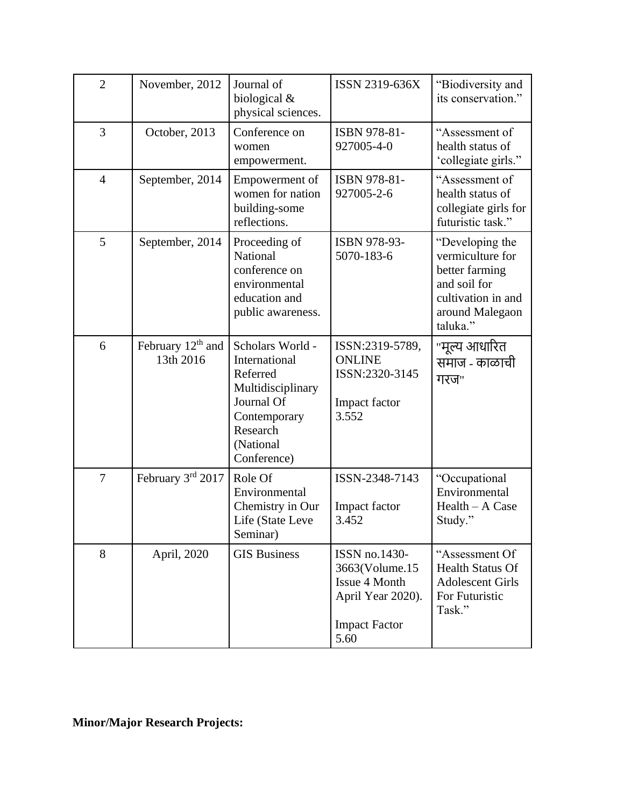| $\overline{2}$ | November, 2012                   | Journal of<br>biological $&$<br>physical sciences.                                                                                       | ISSN 2319-636X                                                                                        | "Biodiversity and<br>its conservation."                                                                                    |
|----------------|----------------------------------|------------------------------------------------------------------------------------------------------------------------------------------|-------------------------------------------------------------------------------------------------------|----------------------------------------------------------------------------------------------------------------------------|
| 3              | October, 2013                    | Conference on<br>women<br>empowerment.                                                                                                   | ISBN 978-81-<br>927005-4-0                                                                            | "Assessment of<br>health status of<br>'collegiate girls."                                                                  |
| $\overline{4}$ | September, 2014                  | Empowerment of<br>women for nation<br>building-some<br>reflections.                                                                      | ISBN 978-81-<br>927005-2-6                                                                            | "Assessment of<br>health status of<br>collegiate girls for<br>futuristic task."                                            |
| 5              | September, 2014                  | Proceeding of<br>National<br>conference on<br>environmental<br>education and<br>public awareness.                                        | ISBN 978-93-<br>5070-183-6                                                                            | "Developing the<br>vermiculture for<br>better farming<br>and soil for<br>cultivation in and<br>around Malegaon<br>taluka." |
| 6              | February $12th$ and<br>13th 2016 | Scholars World -<br>International<br>Referred<br>Multidisciplinary<br>Journal Of<br>Contemporary<br>Research<br>(National<br>Conference) | ISSN:2319-5789,<br><b>ONLINE</b><br>ISSN:2320-3145<br>Impact factor<br>3.552                          | "मूल्य आधारित<br>समाज - काळाची<br>गरज"                                                                                     |
| 7              | February 3rd 2017                | Role Of<br>Environmental<br>Chemistry in Our<br>Life (State Leve<br>Seminar)                                                             | ISSN-2348-7143<br>Impact factor<br>3.452                                                              | "Occupational<br>Environmental<br>Health - A Case<br>Study."                                                               |
| 8              | April, 2020                      | <b>GIS Business</b>                                                                                                                      | ISSN no.1430-<br>3663(Volume.15<br>Issue 4 Month<br>April Year 2020).<br><b>Impact Factor</b><br>5.60 | "Assessment Of<br><b>Health Status Of</b><br><b>Adolescent Girls</b><br>For Futuristic<br>Task."                           |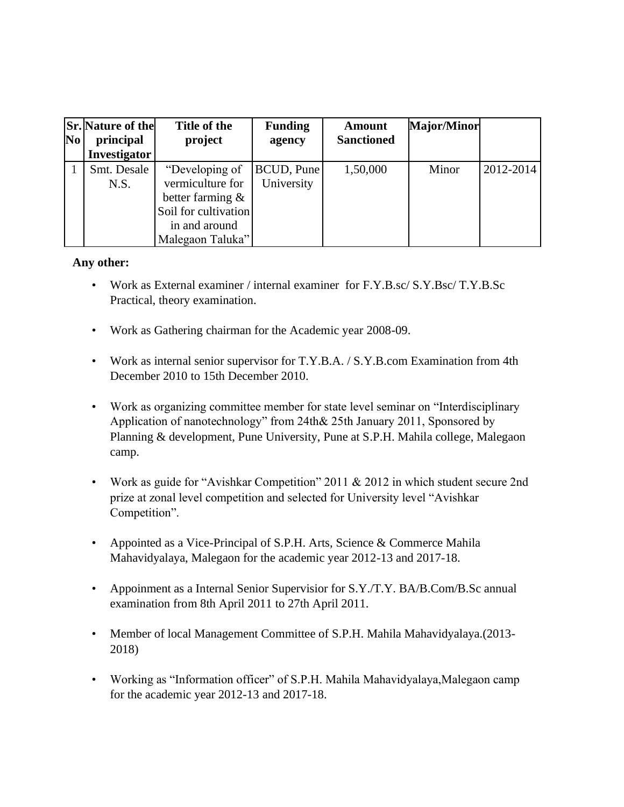| N <sub>0</sub> | <b>Sr.</b> Nature of the<br>principal<br>Investigator | Title of the<br>project                                                                                                | <b>Funding</b><br>agency        | Amount<br><b>Sanctioned</b> | <b>Major/Minor</b> |           |
|----------------|-------------------------------------------------------|------------------------------------------------------------------------------------------------------------------------|---------------------------------|-----------------------------|--------------------|-----------|
|                | Smt. Desale<br>N.S.                                   | "Developing of<br>vermiculture for<br>better farming $\&$<br>Soil for cultivation<br>in and around<br>Malegaon Taluka" | <b>BCUD, Pune</b><br>University | 1,50,000                    | Minor              | 2012-2014 |

#### **Any other:**

- Work as External examiner / internal examiner for F.Y.B.sc/ S.Y.Bsc/ T.Y.B.Sc Practical, theory examination.
- Work as Gathering chairman for the Academic year 2008-09.
- Work as internal senior supervisor for T.Y.B.A. / S.Y.B.com Examination from 4th December 2010 to 15th December 2010.
- Work as organizing committee member for state level seminar on "Interdisciplinary Application of nanotechnology" from 24th& 25th January 2011, Sponsored by Planning & development, Pune University, Pune at S.P.H. Mahila college, Malegaon camp.
- Work as guide for "Avishkar Competition" 2011 & 2012 in which student secure 2nd prize at zonal level competition and selected for University level "Avishkar Competition".
- Appointed as a Vice-Principal of S.P.H. Arts, Science & Commerce Mahila Mahavidyalaya, Malegaon for the academic year 2012-13 and 2017-18.
- Appoinment as a Internal Senior Supervisior for S.Y./T.Y. BA/B.Com/B.Sc annual examination from 8th April 2011 to 27th April 2011.
- Member of local Management Committee of S.P.H. Mahila Mahavidyalaya.(2013- 2018)
- Working as "Information officer" of S.P.H. Mahila Mahavidyalaya,Malegaon camp for the academic year 2012-13 and 2017-18.